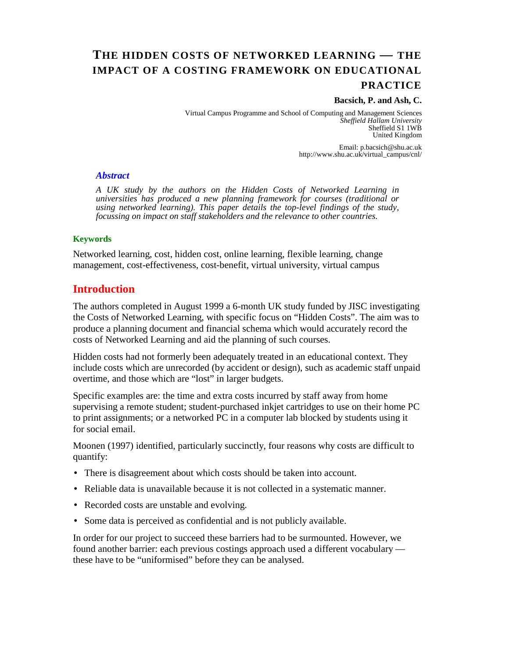# **THE HIDDEN COSTS OF NETWORKED LEARNING — THE IMPACT OF A COSTING FRAMEWORK ON EDUCATIONAL PRACTICE**

#### **Bacsich, P. and Ash, C.**

Virtual Campus Programme and School of Computing and Management Sciences *Sheffield Hallam University* Sheffield S1 1WB United Kingdom

> Email: p.bacsich@shu.ac.uk http://www.shu.ac.uk/virtual\_campus/cnl/

#### *Abstract*

*A UK study by the authors on the Hidden Costs of Networked Learning in universities has produced a new planning framework for courses (traditional or using networked learning). This paper details the top-level findings of the study, focussing on impact on staff stakeholders and the relevance to other countries.* 

#### **Keywords**

Networked learning, cost, hidden cost, online learning, flexible learning, change management, cost-effectiveness, cost-benefit, virtual university, virtual campus

## **Introduction**

The authors completed in August 1999 a 6-month UK study funded by JISC investigating the Costs of Networked Learning, with specific focus on "Hidden Costs". The aim was to produce a planning document and financial schema which would accurately record the costs of Networked Learning and aid the planning of such courses.

Hidden costs had not formerly been adequately treated in an educational context. They include costs which are unrecorded (by accident or design), such as academic staff unpaid overtime, and those which are "lost" in larger budgets.

Specific examples are: the time and extra costs incurred by staff away from home supervising a remote student; student-purchased inkjet cartridges to use on their home PC to print assignments; or a networked PC in a computer lab blocked by students using it for social email.

Moonen (1997) identified, particularly succinctly, four reasons why costs are difficult to quantify:

- There is disagreement about which costs should be taken into account.
- Reliable data is unavailable because it is not collected in a systematic manner.
- Recorded costs are unstable and evolving.
- Some data is perceived as confidential and is not publicly available.

In order for our project to succeed these barriers had to be surmounted. However, we found another barrier: each previous costings approach used a different vocabulary these have to be "uniformised" before they can be analysed.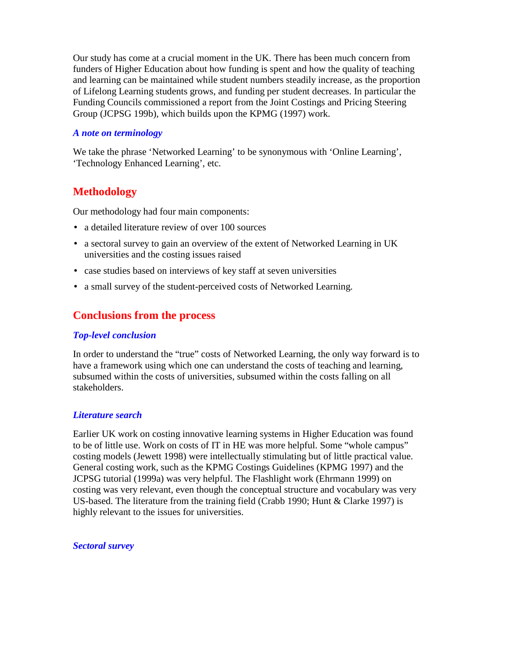Our study has come at a crucial moment in the UK. There has been much concern from funders of Higher Education about how funding is spent and how the quality of teaching and learning can be maintained while student numbers steadily increase, as the proportion of Lifelong Learning students grows, and funding per student decreases. In particular the Funding Councils commissioned a report from the Joint Costings and Pricing Steering Group (JCPSG 199b), which builds upon the KPMG (1997) work.

## *A note on terminology*

We take the phrase 'Networked Learning' to be synonymous with 'Online Learning', 'Technology Enhanced Learning', etc.

# **Methodology**

Our methodology had four main components:

- a detailed literature review of over 100 sources
- a sectoral survey to gain an overview of the extent of Networked Learning in UK universities and the costing issues raised
- case studies based on interviews of key staff at seven universities
- a small survey of the student-perceived costs of Networked Learning.

# **Conclusions from the process**

## *Top-level conclusion*

In order to understand the "true" costs of Networked Learning, the only way forward is to have a framework using which one can understand the costs of teaching and learning, subsumed within the costs of universities, subsumed within the costs falling on all stakeholders.

## *Literature search*

Earlier UK work on costing innovative learning systems in Higher Education was found to be of little use. Work on costs of IT in HE was more helpful. Some "whole campus" costing models (Jewett 1998) were intellectually stimulating but of little practical value. General costing work, such as the KPMG Costings Guidelines (KPMG 1997) and the JCPSG tutorial (1999a) was very helpful. The Flashlight work (Ehrmann 1999) on costing was very relevant, even though the conceptual structure and vocabulary was very US-based. The literature from the training field (Crabb 1990; Hunt & Clarke 1997) is highly relevant to the issues for universities.

*Sectoral survey*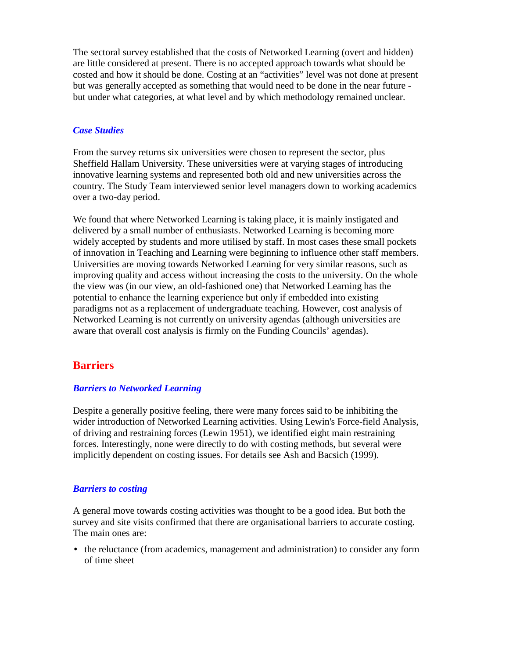The sectoral survey established that the costs of Networked Learning (overt and hidden) are little considered at present. There is no accepted approach towards what should be costed and how it should be done. Costing at an "activities" level was not done at present but was generally accepted as something that would need to be done in the near future but under what categories, at what level and by which methodology remained unclear.

### *Case Studies*

From the survey returns six universities were chosen to represent the sector, plus Sheffield Hallam University. These universities were at varying stages of introducing innovative learning systems and represented both old and new universities across the country. The Study Team interviewed senior level managers down to working academics over a two-day period.

We found that where Networked Learning is taking place, it is mainly instigated and delivered by a small number of enthusiasts. Networked Learning is becoming more widely accepted by students and more utilised by staff. In most cases these small pockets of innovation in Teaching and Learning were beginning to influence other staff members. Universities are moving towards Networked Learning for very similar reasons, such as improving quality and access without increasing the costs to the university. On the whole the view was (in our view, an old-fashioned one) that Networked Learning has the potential to enhance the learning experience but only if embedded into existing paradigms not as a replacement of undergraduate teaching. However, cost analysis of Networked Learning is not currently on university agendas (although universities are aware that overall cost analysis is firmly on the Funding Councils' agendas).

## **Barriers**

### *Barriers to Networked Learning*

Despite a generally positive feeling, there were many forces said to be inhibiting the wider introduction of Networked Learning activities. Using Lewin's Force-field Analysis, of driving and restraining forces (Lewin 1951), we identified eight main restraining forces. Interestingly, none were directly to do with costing methods, but several were implicitly dependent on costing issues. For details see Ash and Bacsich (1999).

#### *Barriers to costing*

A general move towards costing activities was thought to be a good idea. But both the survey and site visits confirmed that there are organisational barriers to accurate costing. The main ones are:

• the reluctance (from academics, management and administration) to consider any form of time sheet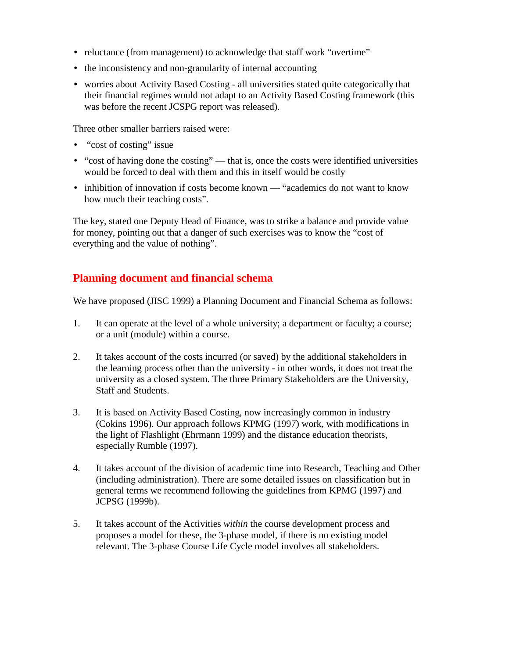- reluctance (from management) to acknowledge that staff work "overtime"
- the inconsistency and non-granularity of internal accounting
- worries about Activity Based Costing all universities stated quite categorically that their financial regimes would not adapt to an Activity Based Costing framework (this was before the recent JCSPG report was released).

Three other smaller barriers raised were:

- "cost of costing" issue
- "cost of having done the costing" that is, once the costs were identified universities would be forced to deal with them and this in itself would be costly
- inhibition of innovation if costs become known "academics do not want to know how much their teaching costs".

The key, stated one Deputy Head of Finance, was to strike a balance and provide value for money, pointing out that a danger of such exercises was to know the "cost of everything and the value of nothing".

## **Planning document and financial schema**

We have proposed (JISC 1999) a Planning Document and Financial Schema as follows:

- 1. It can operate at the level of a whole university; a department or faculty; a course; or a unit (module) within a course.
- 2. It takes account of the costs incurred (or saved) by the additional stakeholders in the learning process other than the university - in other words, it does not treat the university as a closed system. The three Primary Stakeholders are the University, Staff and Students.
- 3. It is based on Activity Based Costing, now increasingly common in industry (Cokins 1996). Our approach follows KPMG (1997) work, with modifications in the light of Flashlight (Ehrmann 1999) and the distance education theorists, especially Rumble (1997).
- 4. It takes account of the division of academic time into Research, Teaching and Other (including administration). There are some detailed issues on classification but in general terms we recommend following the guidelines from KPMG (1997) and JCPSG (1999b).
- 5. It takes account of the Activities *within* the course development process and proposes a model for these, the 3-phase model, if there is no existing model relevant. The 3-phase Course Life Cycle model involves all stakeholders.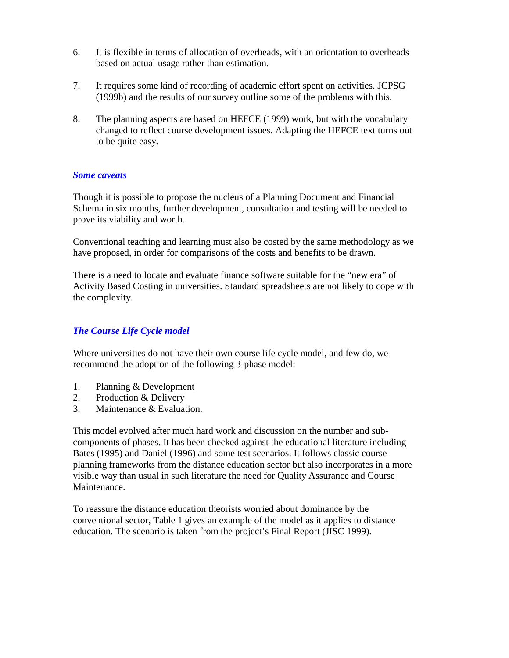- 6. It is flexible in terms of allocation of overheads, with an orientation to overheads based on actual usage rather than estimation.
- 7. It requires some kind of recording of academic effort spent on activities. JCPSG (1999b) and the results of our survey outline some of the problems with this.
- 8. The planning aspects are based on HEFCE (1999) work, but with the vocabulary changed to reflect course development issues. Adapting the HEFCE text turns out to be quite easy.

### *Some caveats*

Though it is possible to propose the nucleus of a Planning Document and Financial Schema in six months, further development, consultation and testing will be needed to prove its viability and worth.

Conventional teaching and learning must also be costed by the same methodology as we have proposed, in order for comparisons of the costs and benefits to be drawn.

There is a need to locate and evaluate finance software suitable for the "new era" of Activity Based Costing in universities. Standard spreadsheets are not likely to cope with the complexity.

## *The Course Life Cycle model*

Where universities do not have their own course life cycle model, and few do, we recommend the adoption of the following 3-phase model:

- 1. Planning & Development
- 2. Production & Delivery
- 3. Maintenance & Evaluation.

This model evolved after much hard work and discussion on the number and subcomponents of phases. It has been checked against the educational literature including Bates (1995) and Daniel (1996) and some test scenarios. It follows classic course planning frameworks from the distance education sector but also incorporates in a more visible way than usual in such literature the need for Quality Assurance and Course **Maintenance** 

To reassure the distance education theorists worried about dominance by the conventional sector, Table 1 gives an example of the model as it applies to distance education. The scenario is taken from the project's Final Report (JISC 1999).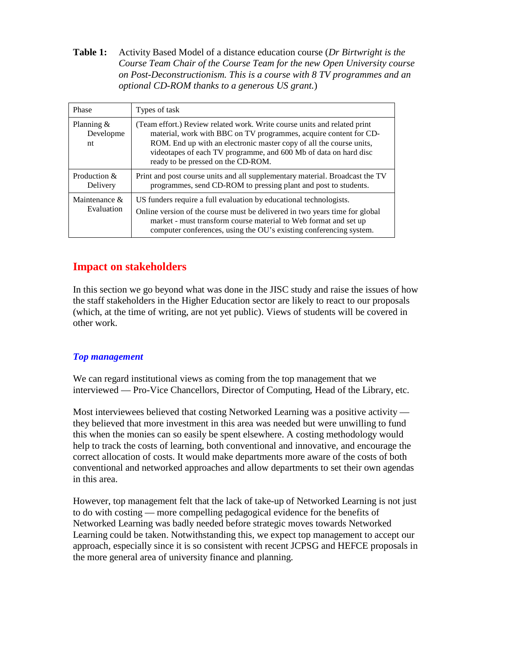**Table 1:** Activity Based Model of a distance education course (*Dr Birtwright is the Course Team Chair of the Course Team for the new Open University course on Post-Deconstructionism. This is a course with 8 TV programmes and an optional CD-ROM thanks to a generous US grant.*)

| Phase                            | Types of task                                                                                                                                                                                                                                                                                                                  |
|----------------------------------|--------------------------------------------------------------------------------------------------------------------------------------------------------------------------------------------------------------------------------------------------------------------------------------------------------------------------------|
| Planning $\&$<br>Developme<br>nt | (Team effort.) Review related work. Write course units and related print<br>material, work with BBC on TV programmes, acquire content for CD-<br>ROM. End up with an electronic master copy of all the course units,<br>videotapes of each TV programme, and 600 Mb of data on hard disc<br>ready to be pressed on the CD-ROM. |
| Production &<br>Delivery         | Print and post course units and all supplementary material. Broadcast the TV<br>programmes, send CD-ROM to pressing plant and post to students.                                                                                                                                                                                |
| Maintenance &<br>Evaluation      | US funders require a full evaluation by educational technologists.<br>Online version of the course must be delivered in two years time for global<br>market - must transform course material to Web format and set up<br>computer conferences, using the OU's existing conferencing system.                                    |

# **Impact on stakeholders**

In this section we go beyond what was done in the JISC study and raise the issues of how the staff stakeholders in the Higher Education sector are likely to react to our proposals (which, at the time of writing, are not yet public). Views of students will be covered in other work.

## *Top management*

We can regard institutional views as coming from the top management that we interviewed — Pro-Vice Chancellors, Director of Computing, Head of the Library, etc.

Most interviewees believed that costing Networked Learning was a positive activity they believed that more investment in this area was needed but were unwilling to fund this when the monies can so easily be spent elsewhere. A costing methodology would help to track the costs of learning, both conventional and innovative, and encourage the correct allocation of costs. It would make departments more aware of the costs of both conventional and networked approaches and allow departments to set their own agendas in this area.

However, top management felt that the lack of take-up of Networked Learning is not just to do with costing — more compelling pedagogical evidence for the benefits of Networked Learning was badly needed before strategic moves towards Networked Learning could be taken. Notwithstanding this, we expect top management to accept our approach, especially since it is so consistent with recent JCPSG and HEFCE proposals in the more general area of university finance and planning.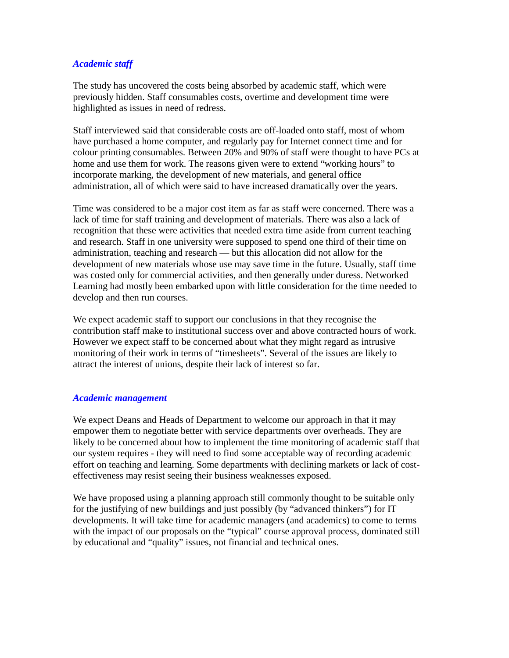## *Academic staff*

The study has uncovered the costs being absorbed by academic staff, which were previously hidden. Staff consumables costs, overtime and development time were highlighted as issues in need of redress.

Staff interviewed said that considerable costs are off-loaded onto staff, most of whom have purchased a home computer, and regularly pay for Internet connect time and for colour printing consumables. Between 20% and 90% of staff were thought to have PCs at home and use them for work. The reasons given were to extend "working hours" to incorporate marking, the development of new materials, and general office administration, all of which were said to have increased dramatically over the years.

Time was considered to be a major cost item as far as staff were concerned. There was a lack of time for staff training and development of materials. There was also a lack of recognition that these were activities that needed extra time aside from current teaching and research. Staff in one university were supposed to spend one third of their time on administration, teaching and research — but this allocation did not allow for the development of new materials whose use may save time in the future. Usually, staff time was costed only for commercial activities, and then generally under duress. Networked Learning had mostly been embarked upon with little consideration for the time needed to develop and then run courses.

We expect academic staff to support our conclusions in that they recognise the contribution staff make to institutional success over and above contracted hours of work. However we expect staff to be concerned about what they might regard as intrusive monitoring of their work in terms of "timesheets". Several of the issues are likely to attract the interest of unions, despite their lack of interest so far.

### *Academic management*

We expect Deans and Heads of Department to welcome our approach in that it may empower them to negotiate better with service departments over overheads. They are likely to be concerned about how to implement the time monitoring of academic staff that our system requires - they will need to find some acceptable way of recording academic effort on teaching and learning. Some departments with declining markets or lack of costeffectiveness may resist seeing their business weaknesses exposed.

We have proposed using a planning approach still commonly thought to be suitable only for the justifying of new buildings and just possibly (by "advanced thinkers") for IT developments. It will take time for academic managers (and academics) to come to terms with the impact of our proposals on the "typical" course approval process, dominated still by educational and "quality" issues, not financial and technical ones.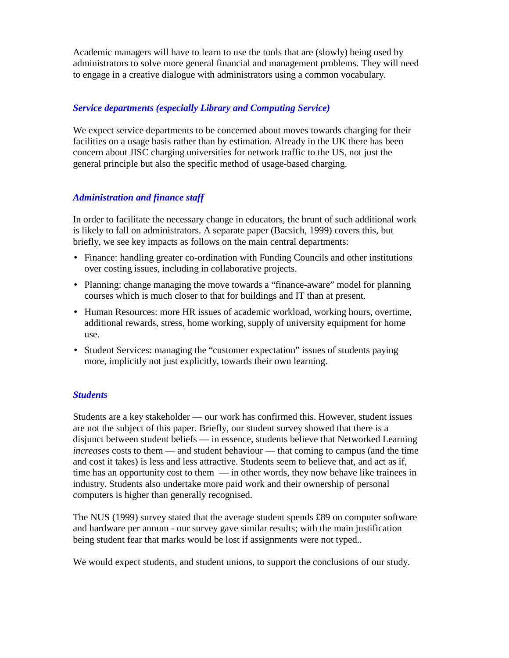Academic managers will have to learn to use the tools that are (slowly) being used by administrators to solve more general financial and management problems. They will need to engage in a creative dialogue with administrators using a common vocabulary.

## *Service departments (especially Library and Computing Service)*

We expect service departments to be concerned about moves towards charging for their facilities on a usage basis rather than by estimation. Already in the UK there has been concern about JISC charging universities for network traffic to the US, not just the general principle but also the specific method of usage-based charging.

### *Administration and finance staff*

In order to facilitate the necessary change in educators, the brunt of such additional work is likely to fall on administrators. A separate paper (Bacsich, 1999) covers this, but briefly, we see key impacts as follows on the main central departments:

- Finance: handling greater co-ordination with Funding Councils and other institutions over costing issues, including in collaborative projects.
- Planning: change managing the move towards a "finance-aware" model for planning courses which is much closer to that for buildings and IT than at present.
- Human Resources: more HR issues of academic workload, working hours, overtime, additional rewards, stress, home working, supply of university equipment for home use.
- Student Services: managing the "customer expectation" issues of students paying more, implicitly not just explicitly, towards their own learning.

### *Students*

Students are a key stakeholder — our work has confirmed this. However, student issues are not the subject of this paper. Briefly, our student survey showed that there is a disjunct between student beliefs — in essence, students believe that Networked Learning *increases* costs to them — and student behaviour — that coming to campus (and the time and cost it takes) is less and less attractive. Students seem to believe that, and act as if, time has an opportunity cost to them — in other words, they now behave like trainees in industry. Students also undertake more paid work and their ownership of personal computers is higher than generally recognised.

The NUS (1999) survey stated that the average student spends £89 on computer software and hardware per annum - our survey gave similar results; with the main justification being student fear that marks would be lost if assignments were not typed..

We would expect students, and student unions, to support the conclusions of our study.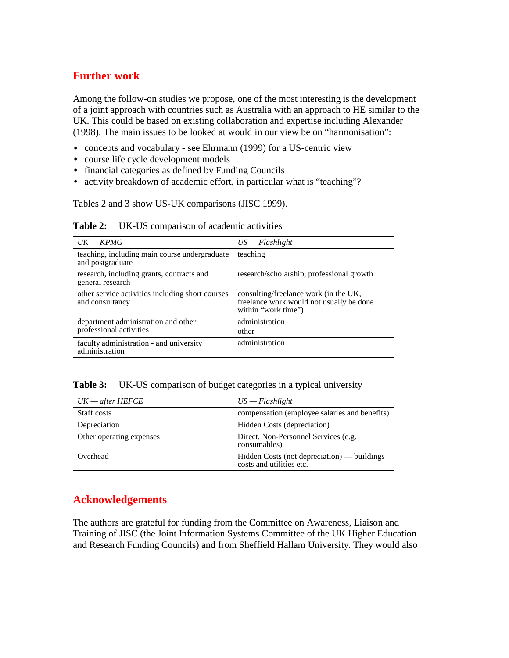## **Further work**

Among the follow-on studies we propose, one of the most interesting is the development of a joint approach with countries such as Australia with an approach to HE similar to the UK. This could be based on existing collaboration and expertise including Alexander (1998). The main issues to be looked at would in our view be on "harmonisation":

- concepts and vocabulary see Ehrmann (1999) for a US-centric view
- course life cycle development models
- financial categories as defined by Funding Councils
- activity breakdown of academic effort, in particular what is "teaching"?

Tables 2 and 3 show US-UK comparisons (JISC 1999).

|  | <b>Table 2:</b> UK-US comparison of academic activities |  |  |  |  |
|--|---------------------------------------------------------|--|--|--|--|
|--|---------------------------------------------------------|--|--|--|--|

| $UK = KPMG$                                                         | $US - Flashlight$                                                                                        |  |  |
|---------------------------------------------------------------------|----------------------------------------------------------------------------------------------------------|--|--|
| teaching, including main course undergraduate<br>and postgraduate   | teaching                                                                                                 |  |  |
| research, including grants, contracts and<br>general research       | research/scholarship, professional growth                                                                |  |  |
| other service activities including short courses<br>and consultancy | consulting/freelance work (in the UK,<br>freelance work would not usually be done<br>within "work time") |  |  |
| department administration and other<br>professional activities      | administration<br>other                                                                                  |  |  |
| faculty administration - and university<br>administration           | administration                                                                                           |  |  |

Table 3: UK-US comparison of budget categories in a typical university

| $UK = after HEFCE$       | $US - Flashlight$                                                       |  |  |
|--------------------------|-------------------------------------------------------------------------|--|--|
| Staff costs              | compensation (employee salaries and benefits)                           |  |  |
| Depreciation             | Hidden Costs (depreciation)                                             |  |  |
| Other operating expenses | Direct, Non-Personnel Services (e.g.<br>consumables)                    |  |  |
| Overhead                 | Hidden Costs (not depreciation) — buildings<br>costs and utilities etc. |  |  |

# **Acknowledgements**

The authors are grateful for funding from the Committee on Awareness, Liaison and Training of JISC (the Joint Information Systems Committee of the UK Higher Education and Research Funding Councils) and from Sheffield Hallam University. They would also